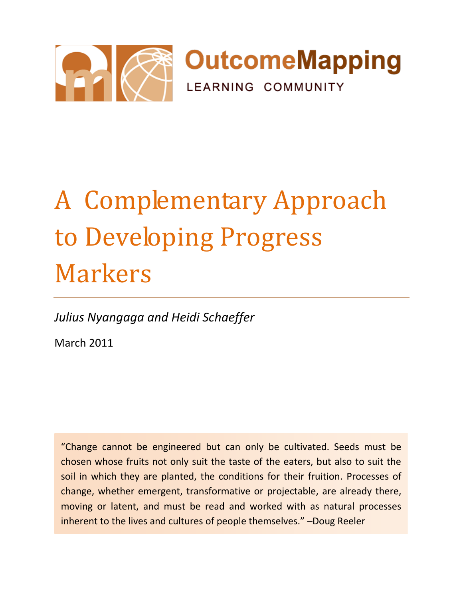

# A Complementary Approach to Developing Progress Markers

*Julius Nyangaga and Heidi Schaeffer*

March 2011

"Change cannot be engineered but can only be cultivated. Seeds must be chosen whose fruits not only suit the taste of the eaters, but also to suit the soil in which they are planted, the conditions for their fruition. Processes of change, whether emergent, transformative or projectable, are already there, moving or latent, and must be read and worked with as natural processes inherent to the lives and cultures of people themselves." –Doug Reeler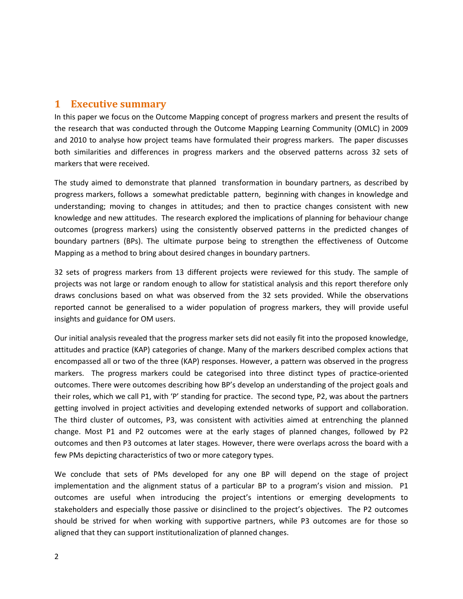## **1 Executive summary**

In this paper we focus on the Outcome Mapping concept of progress markers and present the results of the research that was conducted through the Outcome Mapping Learning Community (OMLC) in 2009 and 2010 to analyse how project teams have formulated their progress markers. The paper discusses both similarities and differences in progress markers and the observed patterns across 32 sets of markers that were received.

The study aimed to demonstrate that planned transformation in boundary partners, as described by progress markers, follows a somewhat predictable pattern, beginning with changes in knowledge and understanding; moving to changes in attitudes; and then to practice changes consistent with new knowledge and new attitudes. The research explored the implications of planning for behaviour change outcomes (progress markers) using the consistently observed patterns in the predicted changes of boundary partners (BPs). The ultimate purpose being to strengthen the effectiveness of Outcome Mapping as a method to bring about desired changes in boundary partners.

32 sets of progress markers from 13 different projects were reviewed for this study. The sample of projects was not large or random enough to allow for statistical analysis and this report therefore only draws conclusions based on what was observed from the 32 sets provided. While the observations reported cannot be generalised to a wider population of progress markers, they will provide useful insights and guidance for OM users.

Our initial analysis revealed that the progress marker sets did not easily fit into the proposed knowledge, attitudes and practice (KAP) categories of change. Many of the markers described complex actions that encompassed all or two of the three (KAP) responses. However, a pattern was observed in the progress markers. The progress markers could be categorised into three distinct types of practice-oriented outcomes. There were outcomes describing how BP's develop an understanding of the project goals and their roles, which we call P1, with 'P' standing for practice. The second type, P2, was about the partners getting involved in project activities and developing extended networks of support and collaboration. The third cluster of outcomes, P3, was consistent with activities aimed at entrenching the planned change. Most P1 and P2 outcomes were at the early stages of planned changes, followed by P2 outcomes and then P3 outcomes at later stages. However, there were overlaps across the board with a few PMs depicting characteristics of two or more category types.

We conclude that sets of PMs developed for any one BP will depend on the stage of project implementation and the alignment status of a particular BP to a program's vision and mission. P1 outcomes are useful when introducing the project's intentions or emerging developments to stakeholders and especially those passive or disinclined to the project's objectives. The P2 outcomes should be strived for when working with supportive partners, while P3 outcomes are for those so aligned that they can support institutionalization of planned changes.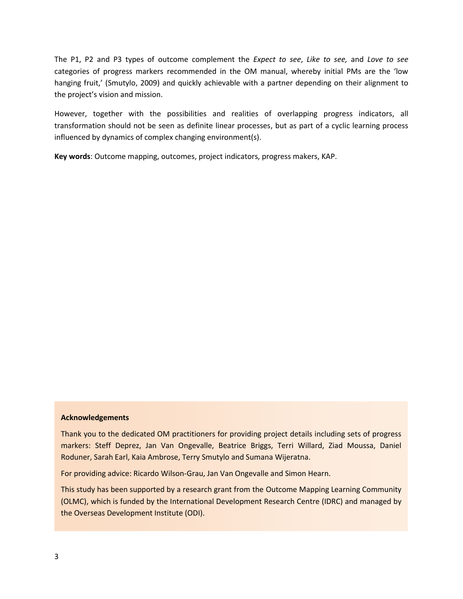The P1, P2 and P3 types of outcome complement the *Expect to see*, *Like to see,* and *Love to see* categories of progress markers recommended in the OM manual, whereby initial PMs are the 'low hanging fruit,' (Smutylo, 2009) and quickly achievable with a partner depending on their alignment to the project's vision and mission.

However, together with the possibilities and realities of overlapping progress indicators, all transformation should not be seen as definite linear processes, but as part of a cyclic learning process influenced by dynamics of complex changing environment(s).

**Key words**: Outcome mapping, outcomes, project indicators, progress makers, KAP.

#### **Acknowledgements**

Thank you to the dedicated OM practitioners for providing project details including sets of progress markers: Steff Deprez, Jan Van Ongevalle, Beatrice Briggs, Terri Willard, Ziad Moussa, Daniel Roduner, Sarah Earl, Kaia Ambrose, Terry Smutylo and Sumana Wijeratna.

For providing advice: Ricardo Wilson-Grau, Jan Van Ongevalle and Simon Hearn.

This study has been supported by a research grant from the Outcome Mapping Learning Community (OLMC), which is funded by the International Development Research Centre (IDRC) and managed by the Overseas Development Institute (ODI).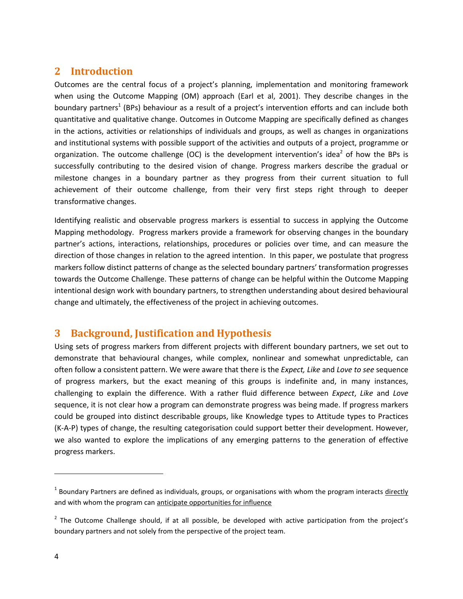## **2 Introduction**

Outcomes are the central focus of a project's planning, implementation and monitoring framework when using the Outcome Mapping (OM) approach (Earl et al, 2001). They describe changes in the boundary partners<sup>1</sup> (BPs) behaviour as a result of a project's intervention efforts and can include both quantitative and qualitative change. Outcomes in Outcome Mapping are specifically defined as changes in the actions, activities or relationships of individuals and groups, as well as changes in organizations and institutional systems with possible support of the activities and outputs of a project, programme or organization. The outcome challenge (OC) is the development intervention's idea<sup>2</sup> of how the BPs is successfully contributing to the desired vision of change. Progress markers describe the gradual or milestone changes in a boundary partner as they progress from their current situation to full achievement of their outcome challenge, from their very first steps right through to deeper transformative changes.

Identifying realistic and observable progress markers is essential to success in applying the Outcome Mapping methodology. Progress markers provide a framework for observing changes in the boundary partner's actions, interactions, relationships, procedures or policies over time, and can measure the direction of those changes in relation to the agreed intention. In this paper, we postulate that progress markers follow distinct patterns of change as the selected boundary partners' transformation progresses towards the Outcome Challenge. These patterns of change can be helpful within the Outcome Mapping intentional design work with boundary partners, to strengthen understanding about desired behavioural change and ultimately, the effectiveness of the project in achieving outcomes.

## **3 Background, Justification and Hypothesis**

Using sets of progress markers from different projects with different boundary partners, we set out to demonstrate that behavioural changes, while complex, nonlinear and somewhat unpredictable, can often follow a consistent pattern. We were aware that there is the *Expect, Like* and *Love to see* sequence of progress markers, but the exact meaning of this groups is indefinite and, in many instances, challenging to explain the difference. With a rather fluid difference between *Expect*, *Like* and *Love* sequence, it is not clear how a program can demonstrate progress was being made. If progress markers could be grouped into distinct describable groups, like Knowledge types to Attitude types to Practices (K-A-P) types of change, the resulting categorisation could support better their development. However, we also wanted to explore the implications of any emerging patterns to the generation of effective progress markers.

l

<sup>&</sup>lt;sup>1</sup> Boundary Partners are defined as individuals, groups, or organisations with whom the program interacts directly and with whom the program can anticipate opportunities for influence

 $2$  The Outcome Challenge should, if at all possible, be developed with active participation from the project's boundary partners and not solely from the perspective of the project team.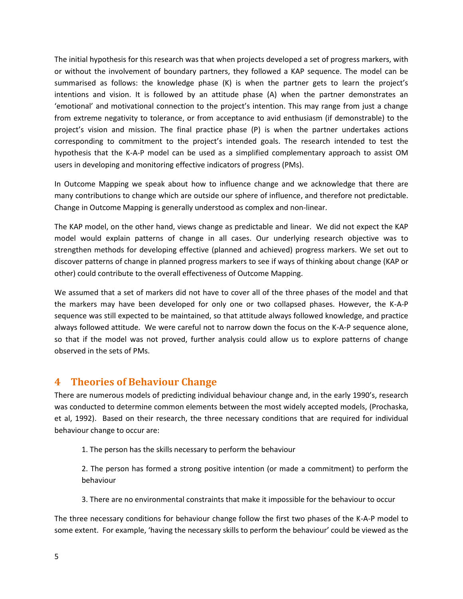The initial hypothesis for this research was that when projects developed a set of progress markers, with or without the involvement of boundary partners, they followed a KAP sequence. The model can be summarised as follows: the knowledge phase (K) is when the partner gets to learn the project's intentions and vision. It is followed by an attitude phase (A) when the partner demonstrates an 'emotional' and motivational connection to the project's intention. This may range from just a change from extreme negativity to tolerance, or from acceptance to avid enthusiasm (if demonstrable) to the project's vision and mission. The final practice phase (P) is when the partner undertakes actions corresponding to commitment to the project's intended goals. The research intended to test the hypothesis that the K-A-P model can be used as a simplified complementary approach to assist OM users in developing and monitoring effective indicators of progress (PMs).

In Outcome Mapping we speak about how to influence change and we acknowledge that there are many contributions to change which are outside our sphere of influence, and therefore not predictable. Change in Outcome Mapping is generally understood as complex and non-linear.

The KAP model, on the other hand, views change as predictable and linear. We did not expect the KAP model would explain patterns of change in all cases. Our underlying research objective was to strengthen methods for developing effective (planned and achieved) progress markers. We set out to discover patterns of change in planned progress markers to see if ways of thinking about change (KAP or other) could contribute to the overall effectiveness of Outcome Mapping.

We assumed that a set of markers did not have to cover all of the three phases of the model and that the markers may have been developed for only one or two collapsed phases. However, the K-A-P sequence was still expected to be maintained, so that attitude always followed knowledge, and practice always followed attitude. We were careful not to narrow down the focus on the K-A-P sequence alone, so that if the model was not proved, further analysis could allow us to explore patterns of change observed in the sets of PMs.

## **4 Theories of Behaviour Change**

There are numerous models of predicting individual behaviour change and, in the early 1990's, research was conducted to determine common elements between the most widely accepted models, (Prochaska, et al, 1992). Based on their research, the three necessary conditions that are required for individual behaviour change to occur are:

1. The person has the skills necessary to perform the behaviour

2. The person has formed a strong positive intention (or made a commitment) to perform the behaviour

3. There are no environmental constraints that make it impossible for the behaviour to occur

The three necessary conditions for behaviour change follow the first two phases of the K-A-P model to some extent. For example, 'having the necessary skills to perform the behaviour' could be viewed as the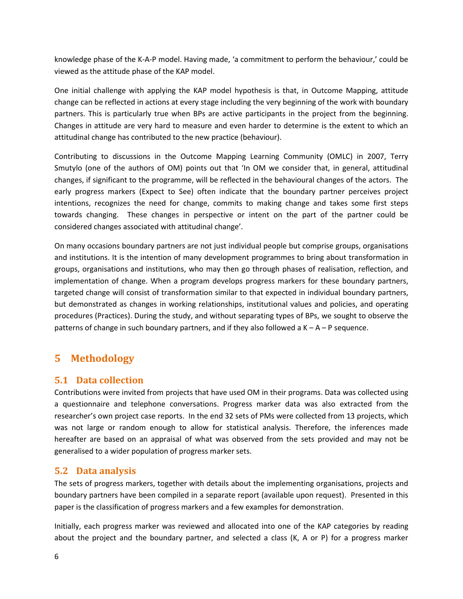knowledge phase of the K-A-P model. Having made, 'a commitment to perform the behaviour,' could be viewed as the attitude phase of the KAP model.

One initial challenge with applying the KAP model hypothesis is that, in Outcome Mapping, attitude change can be reflected in actions at every stage including the very beginning of the work with boundary partners. This is particularly true when BPs are active participants in the project from the beginning. Changes in attitude are very hard to measure and even harder to determine is the extent to which an attitudinal change has contributed to the new practice (behaviour).

Contributing to discussions in the Outcome Mapping Learning Community (OMLC) in 2007, Terry Smutylo (one of the authors of OM) points out that 'In OM we consider that, in general, attitudinal changes, if significant to the programme, will be reflected in the behavioural changes of the actors. The early progress markers (Expect to See) often indicate that the boundary partner perceives project intentions, recognizes the need for change, commits to making change and takes some first steps towards changing. These changes in perspective or intent on the part of the partner could be considered changes associated with attitudinal change'.

On many occasions boundary partners are not just individual people but comprise groups, organisations and institutions. It is the intention of many development programmes to bring about transformation in groups, organisations and institutions, who may then go through phases of realisation, reflection, and implementation of change. When a program develops progress markers for these boundary partners, targeted change will consist of transformation similar to that expected in individual boundary partners, but demonstrated as changes in working relationships, institutional values and policies, and operating procedures (Practices). During the study, and without separating types of BPs, we sought to observe the patterns of change in such boundary partners, and if they also followed a  $K - A - P$  sequence.

## **5 Methodology**

#### **5.1 Data collection**

Contributions were invited from projects that have used OM in their programs. Data was collected using a questionnaire and telephone conversations. Progress marker data was also extracted from the researcher's own project case reports. In the end 32 sets of PMs were collected from 13 projects, which was not large or random enough to allow for statistical analysis. Therefore, the inferences made hereafter are based on an appraisal of what was observed from the sets provided and may not be generalised to a wider population of progress marker sets.

#### **5.2 Data analysis**

The sets of progress markers, together with details about the implementing organisations, projects and boundary partners have been compiled in a separate report (available upon request). Presented in this paper is the classification of progress markers and a few examples for demonstration.

Initially, each progress marker was reviewed and allocated into one of the KAP categories by reading about the project and the boundary partner, and selected a class (K, A or P) for a progress marker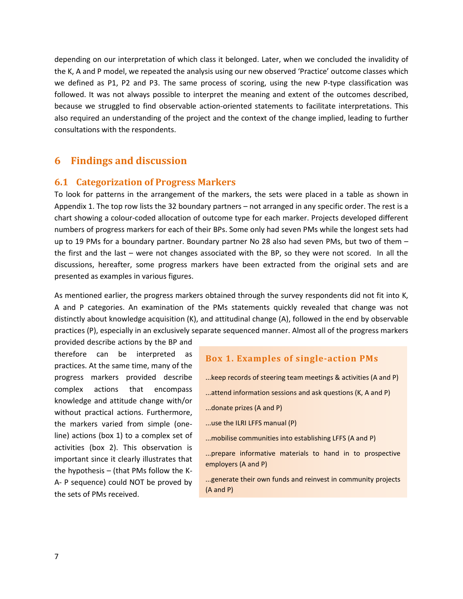depending on our interpretation of which class it belonged. Later, when we concluded the invalidity of the K, A and P model, we repeated the analysis using our new observed 'Practice' outcome classes which we defined as P1, P2 and P3. The same process of scoring, using the new P-type classification was followed. It was not always possible to interpret the meaning and extent of the outcomes described, because we struggled to find observable action-oriented statements to facilitate interpretations. This also required an understanding of the project and the context of the change implied, leading to further consultations with the respondents.

#### **6 Findings and discussion**

#### **6.1 Categorization of Progress Markers**

To look for patterns in the arrangement of the markers, the sets were placed in a table as shown in Appendix 1. The top row lists the 32 boundary partners – not arranged in any specific order. The rest is a chart showing a colour-coded allocation of outcome type for each marker. Projects developed different numbers of progress markers for each of their BPs. Some only had seven PMs while the longest sets had up to 19 PMs for a boundary partner. Boundary partner No 28 also had seven PMs, but two of them – the first and the last – were not changes associated with the BP, so they were not scored. In all the discussions, hereafter, some progress markers have been extracted from the original sets and are presented as examples in various figures.

As mentioned earlier, the progress markers obtained through the survey respondents did not fit into K, A and P categories. An examination of the PMs statements quickly revealed that change was not distinctly about knowledge acquisition (K), and attitudinal change (A), followed in the end by observable practices (P), especially in an exclusively separate sequenced manner. Almost all of the progress markers

provided describe actions by the BP and therefore can be interpreted as practices. At the same time, many of the progress markers provided describe complex actions that encompass knowledge and attitude change with/or without practical actions. Furthermore, the markers varied from simple (oneline) actions (box 1) to a complex set of activities (box 2). This observation is important since it clearly illustrates that the hypothesis – (that PMs follow the K-A- P sequence) could NOT be proved by the sets of PMs received.

#### **Box 1. Examples of single-action PMs**

- ...keep records of steering team meetings & activities (A and P)
- ...attend information sessions and ask questions (K, A and P)
- ...donate prizes (A and P)
- ...use the ILRI LFFS manual (P)
- ...mobilise communities into establishing LFFS (A and P)
- ...prepare informative materials to hand in to prospective employers (A and P)

...generate their own funds and reinvest in community projects (A and P)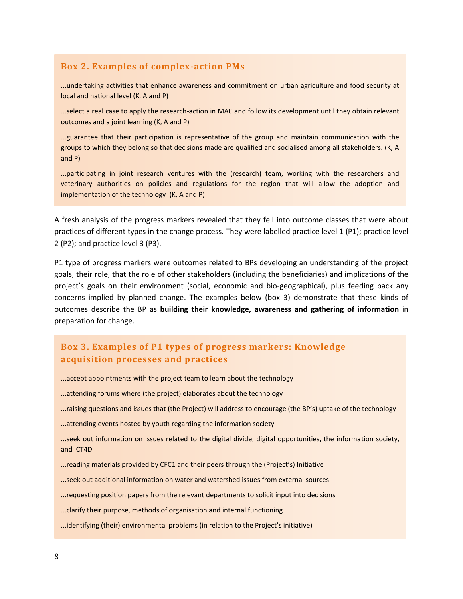#### **Box 2. Examples of complex-action PMs**

...undertaking activities that enhance awareness and commitment on urban agriculture and food security at local and national level (K, A and P)

...select a real case to apply the research-action in MAC and follow its development until they obtain relevant outcomes and a joint learning (K, A and P)

...guarantee that their participation is representative of the group and maintain communication with the groups to which they belong so that decisions made are qualified and socialised among all stakeholders. (K, A and P)

...participating in joint research ventures with the (research) team, working with the researchers and veterinary authorities on policies and regulations for the region that will allow the adoption and implementation of the technology (K, A and P)

A fresh analysis of the progress markers revealed that they fell into outcome classes that were about practices of different types in the change process. They were labelled practice level 1 (P1); practice level 2 (P2); and practice level 3 (P3).

P1 type of progress markers were outcomes related to BPs developing an understanding of the project goals, their role, that the role of other stakeholders (including the beneficiaries) and implications of the project's goals on their environment (social, economic and bio-geographical), plus feeding back any concerns implied by planned change. The examples below (box 3) demonstrate that these kinds of outcomes describe the BP as **building their knowledge, awareness and gathering of information** in preparation for change.

#### **Box 3. Examples of P1 types of progress markers: Knowledge acquisition processes and practices**

- ...accept appointments with the project team to learn about the technology
- ...attending forums where (the project) elaborates about the technology
- ...raising questions and issues that (the Project) will address to encourage (the BP's) uptake of the technology
- ...attending events hosted by youth regarding the information society
- ...seek out information on issues related to the digital divide, digital opportunities, the information society, and ICT4D
- ...reading materials provided by CFC1 and their peers through the (Project's) Initiative
- ...seek out additional information on water and watershed issues from external sources
- ...requesting position papers from the relevant departments to solicit input into decisions
- ...clarify their purpose, methods of organisation and internal functioning
- ...identifying (their) environmental problems (in relation to the Project's initiative)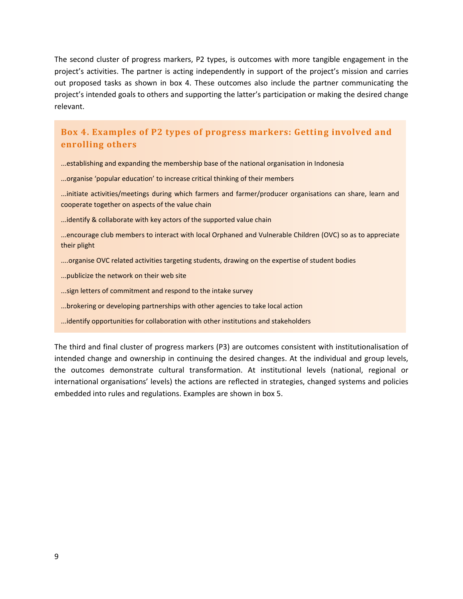The second cluster of progress markers, P2 types, is outcomes with more tangible engagement in the project's activities. The partner is acting independently in support of the project's mission and carries out proposed tasks as shown in box 4. These outcomes also include the partner communicating the project's intended goals to others and supporting the latter's participation or making the desired change relevant.

#### **Box 4. Examples of P2 types of progress markers: Getting involved and enrolling others**

...establishing and expanding the membership base of the national organisation in Indonesia

...organise 'popular education' to increase critical thinking of their members

...initiate activities/meetings during which farmers and farmer/producer organisations can share, learn and cooperate together on aspects of the value chain

...identify & collaborate with key actors of the supported value chain

...encourage club members to interact with local Orphaned and Vulnerable Children (OVC) so as to appreciate their plight

- ....organise OVC related activities targeting students, drawing on the expertise of student bodies
- ...publicize the network on their web site
- ...sign letters of commitment and respond to the intake survey
- ...brokering or developing partnerships with other agencies to take local action
- ...identify opportunities for collaboration with other institutions and stakeholders

The third and final cluster of progress markers (P3) are outcomes consistent with institutionalisation of intended change and ownership in continuing the desired changes. At the individual and group levels, the outcomes demonstrate cultural transformation. At institutional levels (national, regional or international organisations' levels) the actions are reflected in strategies, changed systems and policies embedded into rules and regulations. Examples are shown in box 5.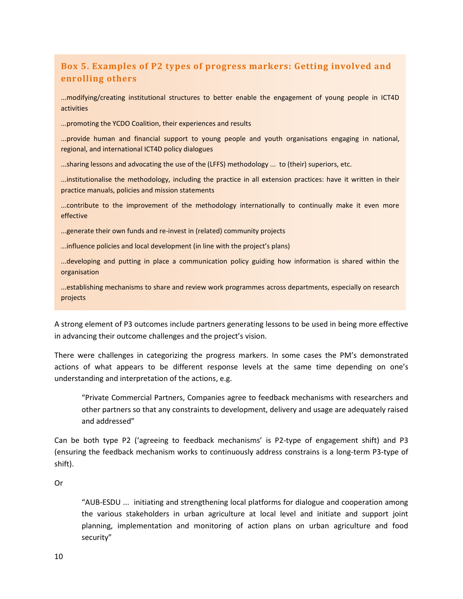## **Box 5. Examples of P2 types of progress markers: Getting involved and enrolling others**

...modifying/creating institutional structures to better enable the engagement of young people in ICT4D activities

...promoting the YCDO Coalition, their experiences and results

...provide human and financial support to young people and youth organisations engaging in national, regional, and international ICT4D policy dialogues

...sharing lessons and advocating the use of the (LFFS) methodology ... to (their) superiors, etc.

...institutionalise the methodology, including the practice in all extension practices: have it written in their practice manuals, policies and mission statements

...contribute to the improvement of the methodology internationally to continually make it even more effective

...generate their own funds and re-invest in (related) community projects

...influence policies and local development (in line with the project's plans)

...developing and putting in place a communication policy guiding how information is shared within the organisation

...establishing mechanisms to share and review work programmes across departments, especially on research projects

A strong element of P3 outcomes include partners generating lessons to be used in being more effective in advancing their outcome challenges and the project's vision.

There were challenges in categorizing the progress markers. In some cases the PM's demonstrated actions of what appears to be different response levels at the same time depending on one's understanding and interpretation of the actions, e.g.

"Private Commercial Partners, Companies agree to feedback mechanisms with researchers and other partners so that any constraints to development, delivery and usage are adequately raised and addressed"

Can be both type P2 ('agreeing to feedback mechanisms' is P2-type of engagement shift) and P3 (ensuring the feedback mechanism works to continuously address constrains is a long-term P3-type of shift).

Or

"AUB-ESDU ... initiating and strengthening local platforms for dialogue and cooperation among the various stakeholders in urban agriculture at local level and initiate and support joint planning, implementation and monitoring of action plans on urban agriculture and food security"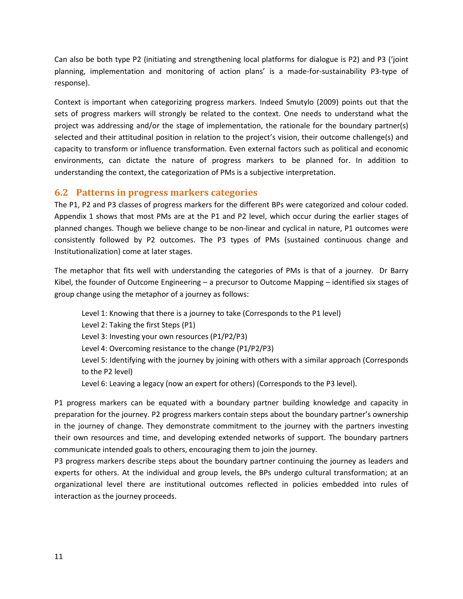Can also be both type P2 (initiating and strengthening local platforms for dialogue is P2) and P3 ('joint planning, implementation and monitoring of action plans' is a made-for-sustainability P3-type of response).

Context is important when categorizing progress markers. Indeed Smutylo (2009) points out that the sets of progress markers will strongly be related to the context. One needs to understand what the project was addressing and/or the stage of implementation, the rationale for the boundary partner(s) selected and their attitudinal position in relation to the project's vision, their outcome challenge(s) and capacity to transform or influence transformation. Even external factors such as political and economic environments, can dictate the nature of progress markers to be planned for. In addition to understanding the context, the categorization of PMs is a subjective interpretation.

#### **6.2 Patterns in progress markers categories**

The P1, P2 and P3 classes of progress markers for the different BPs were categorized and colour coded. Appendix 1 shows that most PMs are at the P1 and P2 level, which occur during the earlier stages of planned changes. Though we believe change to be non-linear and cyclical in nature, P1 outcomes were consistently followed by P2 outcomes. The P3 types of PMs (sustained continuous change and Institutionalization) come at later stages.

The metaphor that fits well with understanding the categories of PMs is that of a journey. Dr Barry Kibel, the founder of Outcome Engineering – a precursor to Outcome Mapping – identified six stages of group change using the metaphor of a journey as follows:

Level 1: Knowing that there is a journey to take (Corresponds to the P1 level) Level 2: Taking the first Steps (P1) Level 3: Investing your own resources (P1/P2/P3) Level 4: Overcoming resistance to the change (P1/P2/P3) Level 5: Identifying with the journey by joining with others with a similar approach (Corresponds to the P2 level) Level 6: Leaving a legacy (now an expert for others) (Corresponds to the P3 level).

P1 progress markers can be equated with a boundary partner building knowledge and capacity in preparation for the journey. P2 progress markers contain steps about the boundary partner's ownership in the journey of change. They demonstrate commitment to the journey with the partners investing their own resources and time, and developing extended networks of support. The boundary partners communicate intended goals to others, encouraging them to join the journey.

P3 progress markers describe steps about the boundary partner continuing the journey as leaders and experts for others. At the individual and group levels, the BPs undergo cultural transformation; at an organizational level there are institutional outcomes reflected in policies embedded into rules of interaction as the journey proceeds.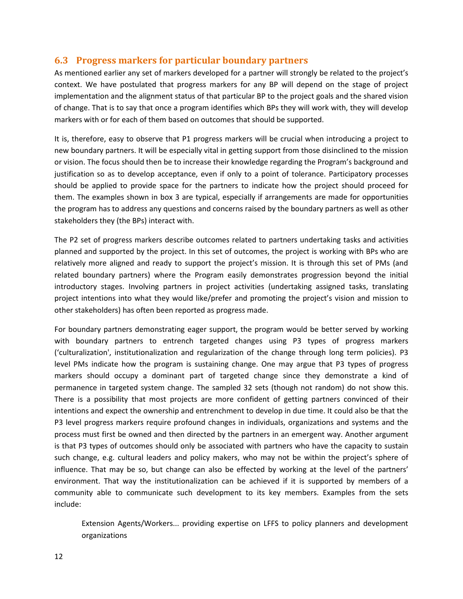#### **6.3 Progress markers for particular boundary partners**

As mentioned earlier any set of markers developed for a partner will strongly be related to the project's context. We have postulated that progress markers for any BP will depend on the stage of project implementation and the alignment status of that particular BP to the project goals and the shared vision of change. That is to say that once a program identifies which BPs they will work with, they will develop markers with or for each of them based on outcomes that should be supported.

It is, therefore, easy to observe that P1 progress markers will be crucial when introducing a project to new boundary partners. It will be especially vital in getting support from those disinclined to the mission or vision. The focus should then be to increase their knowledge regarding the Program's background and justification so as to develop acceptance, even if only to a point of tolerance. Participatory processes should be applied to provide space for the partners to indicate how the project should proceed for them. The examples shown in box 3 are typical, especially if arrangements are made for opportunities the program has to address any questions and concerns raised by the boundary partners as well as other stakeholders they (the BPs) interact with.

The P2 set of progress markers describe outcomes related to partners undertaking tasks and activities planned and supported by the project. In this set of outcomes, the project is working with BPs who are relatively more aligned and ready to support the project's mission. It is through this set of PMs (and related boundary partners) where the Program easily demonstrates progression beyond the initial introductory stages. Involving partners in project activities (undertaking assigned tasks, translating project intentions into what they would like/prefer and promoting the project's vision and mission to other stakeholders) has often been reported as progress made.

For boundary partners demonstrating eager support, the program would be better served by working with boundary partners to entrench targeted changes using P3 types of progress markers ('culturalization', institutionalization and regularization of the change through long term policies). P3 level PMs indicate how the program is sustaining change. One may argue that P3 types of progress markers should occupy a dominant part of targeted change since they demonstrate a kind of permanence in targeted system change. The sampled 32 sets (though not random) do not show this. There is a possibility that most projects are more confident of getting partners convinced of their intentions and expect the ownership and entrenchment to develop in due time. It could also be that the P3 level progress markers require profound changes in individuals, organizations and systems and the process must first be owned and then directed by the partners in an emergent way. Another argument is that P3 types of outcomes should only be associated with partners who have the capacity to sustain such change, e.g. cultural leaders and policy makers, who may not be within the project's sphere of influence. That may be so, but change can also be effected by working at the level of the partners' environment. That way the institutionalization can be achieved if it is supported by members of a community able to communicate such development to its key members. Examples from the sets include:

Extension Agents/Workers... providing expertise on LFFS to policy planners and development organizations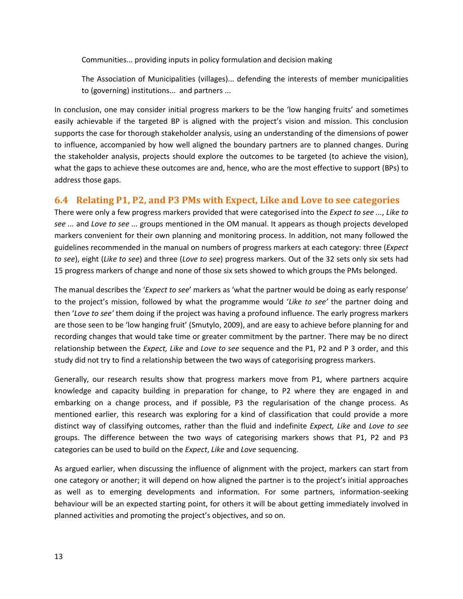Communities... providing inputs in policy formulation and decision making

The Association of Municipalities (villages)... defending the interests of member municipalities to (governing) institutions... and partners ...

In conclusion, one may consider initial progress markers to be the 'low hanging fruits' and sometimes easily achievable if the targeted BP is aligned with the project's vision and mission. This conclusion supports the case for thorough stakeholder analysis, using an understanding of the dimensions of power to influence, accompanied by how well aligned the boundary partners are to planned changes. During the stakeholder analysis, projects should explore the outcomes to be targeted (to achieve the vision), what the gaps to achieve these outcomes are and, hence, who are the most effective to support (BPs) to address those gaps.

#### **6.4 Relating P1, P2, and P3 PMs with Expect, Like and Love to see categories**

There were only a few progress markers provided that were categorised into the *Expect to see ...*, *Like to see ...* and *Love to see ...* groups mentioned in the OM manual. It appears as though projects developed markers convenient for their own planning and monitoring process. In addition, not many followed the guidelines recommended in the manual on numbers of progress markers at each category: three (*Expect to see*), eight (*Like to see*) and three (*Love to see*) progress markers. Out of the 32 sets only six sets had 15 progress markers of change and none of those six sets showed to which groups the PMs belonged.

The manual describes the '*Expect to see*' markers as 'what the partner would be doing as early response' to the project's mission, followed by what the programme would '*Like to see'* the partner doing and then '*Love to see'* them doing if the project was having a profound influence. The early progress markers are those seen to be 'low hanging fruit' (Smutylo, 2009), and are easy to achieve before planning for and recording changes that would take time or greater commitment by the partner. There may be no direct relationship between the *Expect, Like* and *Love to see* sequence and the P1, P2 and P 3 order, and this study did not try to find a relationship between the two ways of categorising progress markers.

Generally, our research results show that progress markers move from P1, where partners acquire knowledge and capacity building in preparation for change, to P2 where they are engaged in and embarking on a change process, and if possible, P3 the regularisation of the change process. As mentioned earlier, this research was exploring for a kind of classification that could provide a more distinct way of classifying outcomes, rather than the fluid and indefinite *Expect, Like* and *Love to see* groups. The difference between the two ways of categorising markers shows that P1, P2 and P3 categories can be used to build on the *Expect*, *Like* and *Love* sequencing.

As argued earlier, when discussing the influence of alignment with the project, markers can start from one category or another; it will depend on how aligned the partner is to the project's initial approaches as well as to emerging developments and information. For some partners, information-seeking behaviour will be an expected starting point, for others it will be about getting immediately involved in planned activities and promoting the project's objectives, and so on.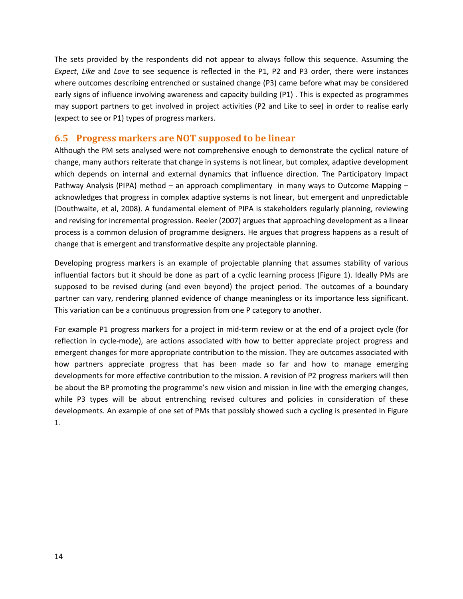The sets provided by the respondents did not appear to always follow this sequence. Assuming the *Expect*, *Like* and *Love* to see sequence is reflected in the P1, P2 and P3 order, there were instances where outcomes describing entrenched or sustained change (P3) came before what may be considered early signs of influence involving awareness and capacity building (P1) . This is expected as programmes may support partners to get involved in project activities (P2 and Like to see) in order to realise early (expect to see or P1) types of progress markers.

#### **6.5 Progress markers are NOT supposed to be linear**

Although the PM sets analysed were not comprehensive enough to demonstrate the cyclical nature of change, many authors reiterate that change in systems is not linear, but complex, adaptive development which depends on internal and external dynamics that influence direction. The Participatory Impact Pathway Analysis (PIPA) method – an approach complimentary in many ways to Outcome Mapping – acknowledges that progress in complex adaptive systems is not linear, but emergent and unpredictable (Douthwaite, et al, 2008). A fundamental element of PIPA is stakeholders regularly planning, reviewing and revising for incremental progression. Reeler (2007) argues that approaching development as a linear process is a common delusion of programme designers. He argues that progress happens as a result of change that is emergent and transformative despite any projectable planning.

Developing progress markers is an example of projectable planning that assumes stability of various influential factors but it should be done as part of a cyclic learning process (Figure 1). Ideally PMs are supposed to be revised during (and even beyond) the project period. The outcomes of a boundary partner can vary, rendering planned evidence of change meaningless or its importance less significant. This variation can be a continuous progression from one P category to another.

For example P1 progress markers for a project in mid-term review or at the end of a project cycle (for reflection in cycle-mode), are actions associated with how to better appreciate project progress and emergent changes for more appropriate contribution to the mission. They are outcomes associated with how partners appreciate progress that has been made so far and how to manage emerging developments for more effective contribution to the mission. A revision of P2 progress markers will then be about the BP promoting the programme's new vision and mission in line with the emerging changes, while P3 types will be about entrenching revised cultures and policies in consideration of these developments. An example of one set of PMs that possibly showed such a cycling is presented in Figure 1.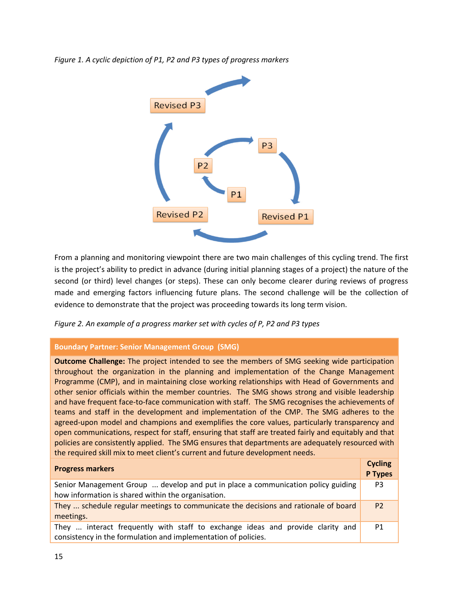



From a planning and monitoring viewpoint there are two main challenges of this cycling trend. The first is the project's ability to predict in advance (during initial planning stages of a project) the nature of the second (or third) level changes (or steps). These can only become clearer during reviews of progress made and emerging factors influencing future plans. The second challenge will be the collection of evidence to demonstrate that the project was proceeding towards its long term vision.

*Figure 2. An example of a progress marker set with cycles of P, P2 and P3 types*

#### **Boundary Partner: Senior Management Group (SMG)**

**Outcome Challenge:** The project intended to see the members of SMG seeking wide participation throughout the organization in the planning and implementation of the Change Management Programme (CMP), and in maintaining close working relationships with Head of Governments and other senior officials within the member countries. The SMG shows strong and visible leadership and have frequent face-to-face communication with staff. The SMG recognises the achievements of teams and staff in the development and implementation of the CMP. The SMG adheres to the agreed-upon model and champions and exemplifies the core values, particularly transparency and open communications, respect for staff, ensuring that staff are treated fairly and equitably and that policies are consistently applied. The SMG ensures that departments are adequately resourced with the required skill mix to meet client's current and future development needs.

| <b>Progress markers</b>                                                                                                                          | <b>Cycling</b><br>P Types |
|--------------------------------------------------------------------------------------------------------------------------------------------------|---------------------------|
| Senior Management Group  develop and put in place a communication policy guiding<br>how information is shared within the organisation.           | P <sub>3</sub>            |
| They  schedule regular meetings to communicate the decisions and rationale of board<br>meetings.                                                 | P <sub>2</sub>            |
| They  interact frequently with staff to exchange ideas and provide clarity and<br>consistency in the formulation and implementation of policies. | P <sub>1</sub>            |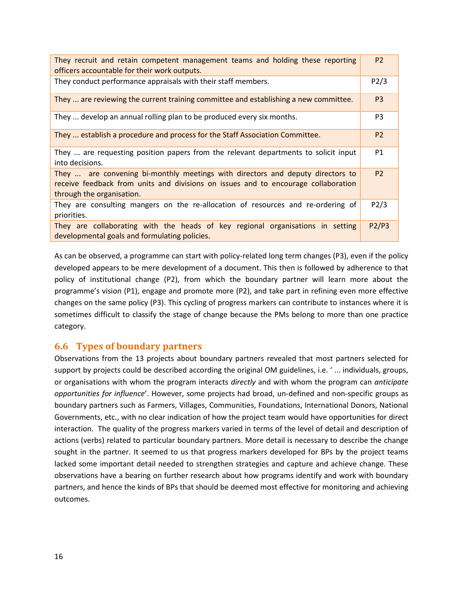| They recruit and retain competent management teams and holding these reporting<br>officers accountable for their work outputs.                                                                    | P <sub>2</sub> |
|---------------------------------------------------------------------------------------------------------------------------------------------------------------------------------------------------|----------------|
| They conduct performance appraisals with their staff members.                                                                                                                                     | P2/3           |
| They  are reviewing the current training committee and establishing a new committee.                                                                                                              | P <sub>3</sub> |
| They  develop an annual rolling plan to be produced every six months.                                                                                                                             | P <sub>3</sub> |
| They  establish a procedure and process for the Staff Association Committee.                                                                                                                      | P <sub>2</sub> |
| They  are requesting position papers from the relevant departments to solicit input<br>into decisions.                                                                                            | P <sub>1</sub> |
| They  are convening bi-monthly meetings with directors and deputy directors to<br>receive feedback from units and divisions on issues and to encourage collaboration<br>through the organisation. | <b>P2</b>      |
| They are consulting mangers on the re-allocation of resources and re-ordering of<br>priorities.                                                                                                   | P2/3           |
| They are collaborating with the heads of key regional organisations in setting<br>developmental goals and formulating policies.                                                                   | P2/P3          |

As can be observed, a programme can start with policy-related long term changes (P3), even if the policy developed appears to be mere development of a document. This then is followed by adherence to that policy of institutional change (P2), from which the boundary partner will learn more about the programme's vision (P1), engage and promote more (P2), and take part in refining even more effective changes on the same policy (P3). This cycling of progress markers can contribute to instances where it is sometimes difficult to classify the stage of change because the PMs belong to more than one practice category.

#### **6.6 Types of boundary partners**

Observations from the 13 projects about boundary partners revealed that most partners selected for support by projects could be described according the original OM guidelines, i.e. ' ... individuals, groups, or organisations with whom the program interacts *directly* and with whom the program can *anticipate opportunities for influence*'. However, some projects had broad, un-defined and non-specific groups as boundary partners such as Farmers, Villages, Communities, Foundations, International Donors, National Governments, etc., with no clear indication of how the project team would have opportunities for direct interaction. The quality of the progress markers varied in terms of the level of detail and description of actions (verbs) related to particular boundary partners. More detail is necessary to describe the change sought in the partner. It seemed to us that progress markers developed for BPs by the project teams lacked some important detail needed to strengthen strategies and capture and achieve change. These observations have a bearing on further research about how programs identify and work with boundary partners, and hence the kinds of BPs that should be deemed most effective for monitoring and achieving outcomes.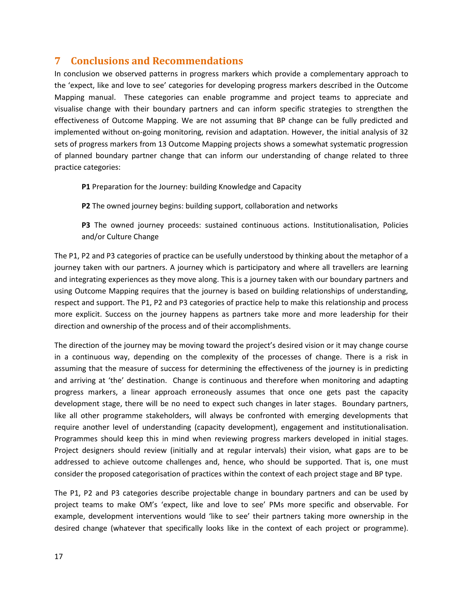## **7 Conclusions and Recommendations**

In conclusion we observed patterns in progress markers which provide a complementary approach to the 'expect, like and love to see' categories for developing progress markers described in the Outcome Mapping manual. These categories can enable programme and project teams to appreciate and visualise change with their boundary partners and can inform specific strategies to strengthen the effectiveness of Outcome Mapping. We are not assuming that BP change can be fully predicted and implemented without on-going monitoring, revision and adaptation. However, the initial analysis of 32 sets of progress markers from 13 Outcome Mapping projects shows a somewhat systematic progression of planned boundary partner change that can inform our understanding of change related to three practice categories:

**P1** Preparation for the Journey: building Knowledge and Capacity

**P2** The owned journey begins: building support, collaboration and networks

**P3** The owned journey proceeds: sustained continuous actions. Institutionalisation, Policies and/or Culture Change

The P1, P2 and P3 categories of practice can be usefully understood by thinking about the metaphor of a journey taken with our partners. A journey which is participatory and where all travellers are learning and integrating experiences as they move along. This is a journey taken with our boundary partners and using Outcome Mapping requires that the journey is based on building relationships of understanding, respect and support. The P1, P2 and P3 categories of practice help to make this relationship and process more explicit. Success on the journey happens as partners take more and more leadership for their direction and ownership of the process and of their accomplishments.

The direction of the journey may be moving toward the project's desired vision or it may change course in a continuous way, depending on the complexity of the processes of change. There is a risk in assuming that the measure of success for determining the effectiveness of the journey is in predicting and arriving at 'the' destination. Change is continuous and therefore when monitoring and adapting progress markers, a linear approach erroneously assumes that once one gets past the capacity development stage, there will be no need to expect such changes in later stages. Boundary partners, like all other programme stakeholders, will always be confronted with emerging developments that require another level of understanding (capacity development), engagement and institutionalisation. Programmes should keep this in mind when reviewing progress markers developed in initial stages. Project designers should review (initially and at regular intervals) their vision, what gaps are to be addressed to achieve outcome challenges and, hence, who should be supported. That is, one must consider the proposed categorisation of practices within the context of each project stage and BP type.

The P1, P2 and P3 categories describe projectable change in boundary partners and can be used by project teams to make OM's 'expect, like and love to see' PMs more specific and observable. For example, development interventions would 'like to see' their partners taking more ownership in the desired change (whatever that specifically looks like in the context of each project or programme).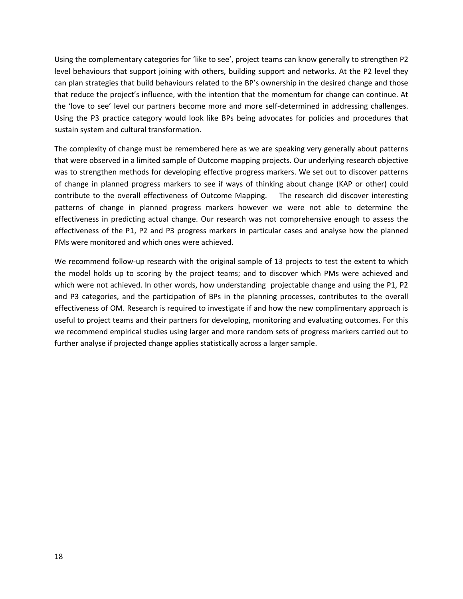Using the complementary categories for 'like to see', project teams can know generally to strengthen P2 level behaviours that support joining with others, building support and networks. At the P2 level they can plan strategies that build behaviours related to the BP's ownership in the desired change and those that reduce the project's influence, with the intention that the momentum for change can continue. At the 'love to see' level our partners become more and more self-determined in addressing challenges. Using the P3 practice category would look like BPs being advocates for policies and procedures that sustain system and cultural transformation.

The complexity of change must be remembered here as we are speaking very generally about patterns that were observed in a limited sample of Outcome mapping projects. Our underlying research objective was to strengthen methods for developing effective progress markers. We set out to discover patterns of change in planned progress markers to see if ways of thinking about change (KAP or other) could contribute to the overall effectiveness of Outcome Mapping. The research did discover interesting patterns of change in planned progress markers however we were not able to determine the effectiveness in predicting actual change. Our research was not comprehensive enough to assess the effectiveness of the P1, P2 and P3 progress markers in particular cases and analyse how the planned PMs were monitored and which ones were achieved.

We recommend follow-up research with the original sample of 13 projects to test the extent to which the model holds up to scoring by the project teams; and to discover which PMs were achieved and which were not achieved. In other words, how understanding projectable change and using the P1, P2 and P3 categories, and the participation of BPs in the planning processes, contributes to the overall effectiveness of OM. Research is required to investigate if and how the new complimentary approach is useful to project teams and their partners for developing, monitoring and evaluating outcomes. For this we recommend empirical studies using larger and more random sets of progress markers carried out to further analyse if projected change applies statistically across a larger sample.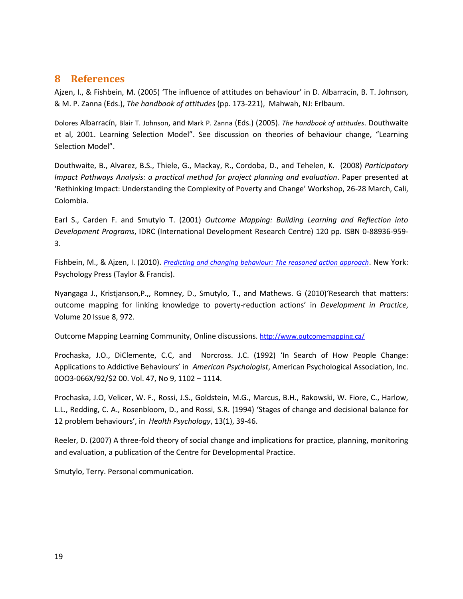#### **8 References**

Ajzen, I., & Fishbein, M. (2005) 'The influence of attitudes on behaviour' in D. Albarracín, B. T. Johnson, & M. P. Zanna (Eds.), *The handbook of attitudes* (pp. 173-221), Mahwah, NJ: Erlbaum.

Dolores Albarracín, Blair T. Johnson, and Mark P. Zanna (Eds.) (2005). *The handbook of attitudes*. Douthwaite et al, 2001. Learning Selection Model". See discussion on theories of behaviour change, "Learning Selection Model".

Douthwaite, B., Alvarez, B.S., Thiele, G., Mackay, R., Cordoba, D., and Tehelen, K. (2008) *Participatory Impact Pathways Analysis: a practical method for project planning and evaluation*. Paper presented at 'Rethinking Impact: Understanding the Complexity of Poverty and Change' Workshop, 26-28 March, Cali, Colombia.

Earl S., Carden F. and Smutylo T. (2001) *Outcome Mapping: Building Learning and Reflection into Development Programs*, IDRC (International Development Research Centre) 120 pp. ISBN 0-88936-959- 3.

Fishbein, M., & Ajzen, I. (2010). *[Predicting and changing behaviour: The reasoned action approach](http://www.routledge.com/books/Predicting-and-Changing-Behavior-isbn9780805859249)*. New York: Psychology Press (Taylor & Francis).

Nyangaga J., Kristjanson,P.,, Romney, D., Smutylo, T., and Mathews. G (2010)'Research that matters: outcome mapping for linking knowledge to poverty-reduction actions' in *Development in Practice*, Volume 20 Issue 8, 972.

Outcome Mapping Learning Community, Online discussions. <http://www.outcomemapping.ca/>

Prochaska, J.O., DiClemente, C.C, and Norcross. J.C. (1992) 'In Search of How People Change: Applications to Addictive Behaviours' in *American Psychologist*, American Psychological Association, Inc. 0OO3-066X/92/\$2 00. Vol. 47, No 9, 1102 – 1114.

Prochaska, J.O, Velicer, W. F., Rossi, J.S., Goldstein, M.G., Marcus, B.H., Rakowski, W. Fiore, C., Harlow, L.L., Redding, C. A., Rosenbloom, D., and Rossi, S.R. (1994) 'Stages of change and decisional balance for 12 problem behaviours', in *Health Psychology*, 13(1), 39-46.

Reeler, D. (2007) A three-fold theory of social change and implications for practice, planning, monitoring and evaluation, a publication of the Centre for Developmental Practice.

Smutylo, Terry. Personal communication.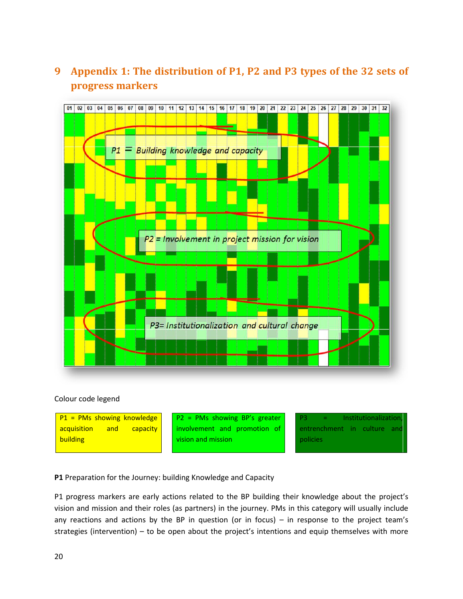## **9 Appendix 1: The distribution of P1, P2 and P3 types of the 32 sets of progress markers**



#### Colour code legend



**P1** Preparation for the Journey: building Knowledge and Capacity

P1 progress markers are early actions related to the BP building their knowledge about the project's vision and mission and their roles (as partners) in the journey. PMs in this category will usually include any reactions and actions by the BP in question (or in focus) – in response to the project team's strategies (intervention) – to be open about the project's intentions and equip themselves with more